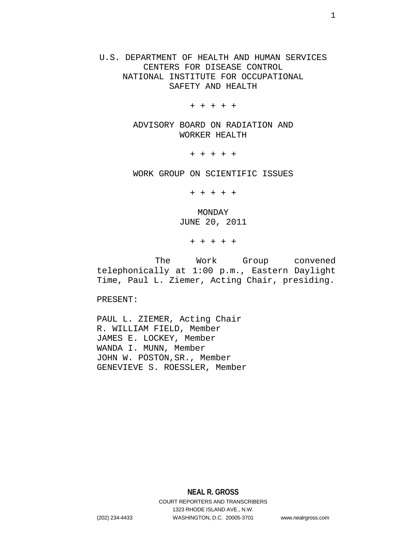U.S. DEPARTMENT OF HEALTH AND HUMAN SERVICES CENTERS FOR DISEASE CONTROL NATIONAL INSTITUTE FOR OCCUPATIONAL SAFETY AND HEALTH

+ + + + +

ADVISORY BOARD ON RADIATION AND WORKER HEALTH

+ + + + +

WORK GROUP ON SCIENTIFIC ISSUES

+ + + + +

MONDAY JUNE 20, 2011

+ + + + +

 The Work Group convened telephonically at 1:00 p.m., Eastern Daylight Time, Paul L. Ziemer, Acting Chair, presiding.

PRESENT:

PAUL L. ZIEMER, Acting Chair R. WILLIAM FIELD, Member JAMES E. LOCKEY, Member WANDA I. MUNN, Member JOHN W. POSTON,SR., Member GENEVIEVE S. ROESSLER, Member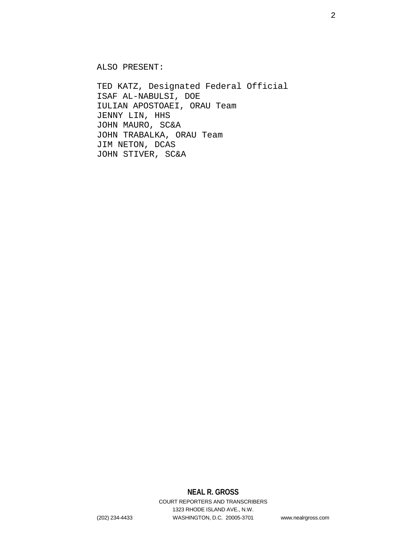ALSO PRESENT:

TED KATZ, Designated Federal Official ISAF AL-NABULSI, DOE IULIAN APOSTOAEI, ORAU Team JENNY LIN, HHS JOHN MAURO, SC&A JOHN TRABALKA, ORAU Team JIM NETON, DCAS JOHN STIVER, SC&A

2

# **NEAL R. GROSS**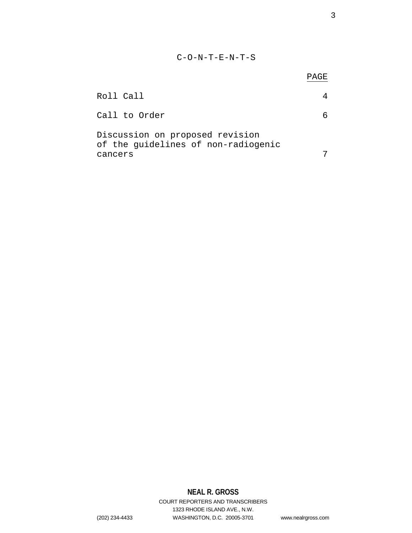## C-O-N-T-E-N-T-S

|                                                                        | PAGE |
|------------------------------------------------------------------------|------|
| Roll Call                                                              |      |
| Call to Order                                                          |      |
| Discussion on proposed revision<br>of the guidelines of non-radiogenic |      |
| cancers                                                                |      |

# **NEAL R. GROSS**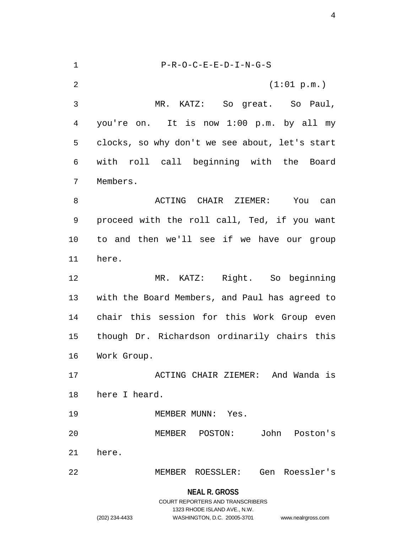1 P-R-O-C-E-E-D-I-N-G-S 2  $(1:01 \text{ p.m.})$ 3 MR. KATZ: So great. So Paul, 4 you're on. It is now 1:00 p.m. by all my 5 clocks, so why don't we see about, let's start 6 with roll call beginning with the Board 7 Members. 8 ACTING CHAIR ZIEMER: You can 9 proceed with the roll call, Ted, if you want 10 to and then we'll see if we have our group 11 here. 12 MR. KATZ: Right. So beginning 13 with the Board Members, and Paul has agreed to 14 chair this session for this Work Group even 15 though Dr. Richardson ordinarily chairs this 16 Work Group. 17 ACTING CHAIR ZIEMER: And Wanda is 18 here I heard. 19 MEMBER MUNN: Yes. 20 MEMBER POSTON: John Poston's 21 here. 22 MEMBER ROESSLER: Gen Roessler's

## **NEAL R. GROSS** COURT REPORTERS AND TRANSCRIBERS 1323 RHODE ISLAND AVE., N.W. (202) 234-4433 WASHINGTON, D.C. 20005-3701 www.nealrgross.com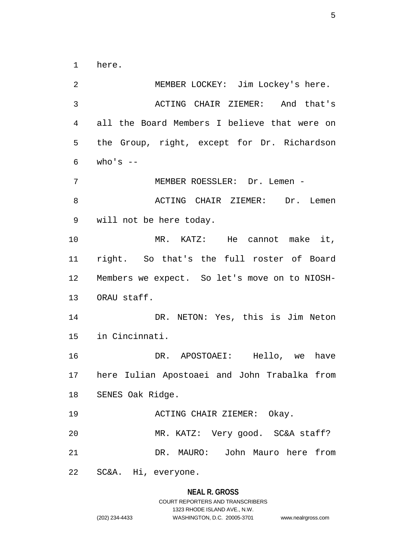1 here.

2 MEMBER LOCKEY: Jim Lockey's here. 3 ACTING CHAIR ZIEMER: And that's 4 all the Board Members I believe that were on 5 the Group, right, except for Dr. Richardson  $6$  who's  $-$ 7 MEMBER ROESSLER: Dr. Lemen - 8 BOOK ACTING CHAIR ZIEMER: Dr. Lemen 9 will not be here today. 10 MR. KATZ: He cannot make it, 11 right. So that's the full roster of Board 12 Members we expect. So let's move on to NIOSH-13 ORAU staff. 14 DR. NETON: Yes, this is Jim Neton 15 in Cincinnati. 16 DR. APOSTOAEI: Hello, we have 17 here Iulian Apostoaei and John Trabalka from 18 SENES Oak Ridge. 19 ACTING CHAIR ZIEMER: Okay. 20 MR. KATZ: Very good. SC&A staff? 21 DR. MAURO: John Mauro here from 22 SC&A. Hi, everyone.

#### **NEAL R. GROSS**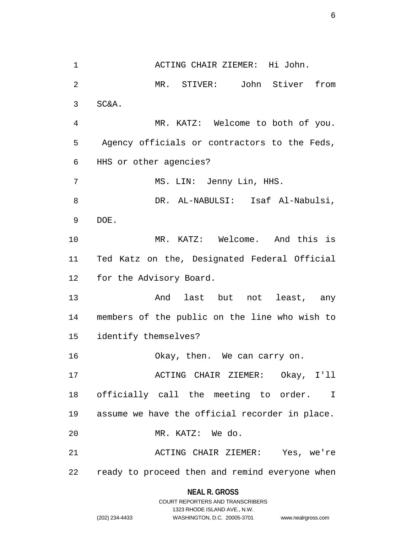1 ACTING CHAIR ZIEMER: Hi John. 2 MR. STIVER: John Stiver from 3 SC&A. 4 MR. KATZ: Welcome to both of you. 5 Agency officials or contractors to the Feds, 6 HHS or other agencies? 7 MS. LIN: Jenny Lin, HHS. 8 DR. AL-NABULSI: Isaf Al-Nabulsi, 9 DOE. 10 MR. KATZ: Welcome. And this is 11 Ted Katz on the, Designated Federal Official 12 for the Advisory Board. 13 And last but not least, any 14 members of the public on the line who wish to 15 identify themselves? 16 Okay, then. We can carry on. 17 ACTING CHAIR ZIEMER: Okay, I'll 18 officially call the meeting to order. I 19 assume we have the official recorder in place. 20 MR. KATZ: We do. 21 ACTING CHAIR ZIEMER: Yes, we're 22 ready to proceed then and remind everyone when

## **NEAL R. GROSS** COURT REPORTERS AND TRANSCRIBERS 1323 RHODE ISLAND AVE., N.W. (202) 234-4433 WASHINGTON, D.C. 20005-3701 www.nealrgross.com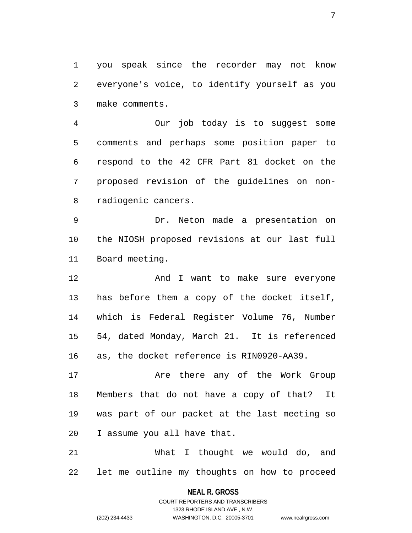1 you speak since the recorder may not know 2 everyone's voice, to identify yourself as you 3 make comments.

4 Our job today is to suggest some 5 comments and perhaps some position paper to 6 respond to the 42 CFR Part 81 docket on the 7 proposed revision of the guidelines on non-8 radiogenic cancers.

9 Dr. Neton made a presentation on 10 the NIOSH proposed revisions at our last full 11 Board meeting.

12 And I want to make sure everyone 13 has before them a copy of the docket itself, 14 which is Federal Register Volume 76, Number 15 54, dated Monday, March 21. It is referenced 16 as, the docket reference is RIN0920-AA39.

17 Are there any of the Work Group 18 Members that do not have a copy of that? It 19 was part of our packet at the last meeting so 20 I assume you all have that.

21 What I thought we would do, and 22 let me outline my thoughts on how to proceed

> **NEAL R. GROSS** COURT REPORTERS AND TRANSCRIBERS

> > 1323 RHODE ISLAND AVE., N.W.

(202) 234-4433 WASHINGTON, D.C. 20005-3701 www.nealrgross.com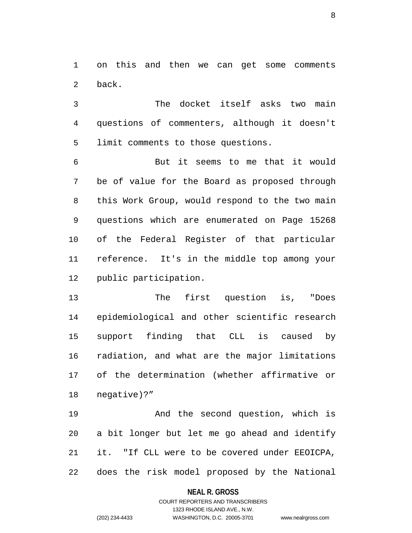1 on this and then we can get some comments 2 back.

3 The docket itself asks two main 4 questions of commenters, although it doesn't 5 limit comments to those questions.

6 But it seems to me that it would 7 be of value for the Board as proposed through 8 this Work Group, would respond to the two main 9 questions which are enumerated on Page 15268 10 of the Federal Register of that particular 11 reference. It's in the middle top among your 12 public participation.

13 The first question is, "Does 14 epidemiological and other scientific research 15 support finding that CLL is caused by 16 radiation, and what are the major limitations 17 of the determination (whether affirmative or 18 negative)?"

19 And the second question, which is 20 a bit longer but let me go ahead and identify 21 it. "If CLL were to be covered under EEOICPA, 22 does the risk model proposed by the National

### **NEAL R. GROSS**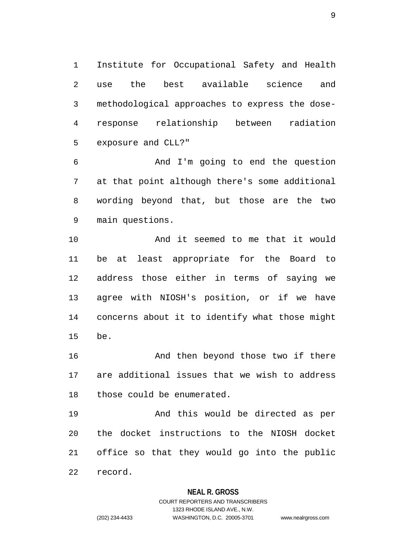1 Institute for Occupational Safety and Health 2 use the best available science and 3 methodological approaches to express the dose-4 response relationship between radiation 5 exposure and CLL?"

6 And I'm going to end the question 7 at that point although there's some additional 8 wording beyond that, but those are the two 9 main questions.

10 And it seemed to me that it would 11 be at least appropriate for the Board to 12 address those either in terms of saying we 13 agree with NIOSH's position, or if we have 14 concerns about it to identify what those might 15 be.

16 And then beyond those two if there 17 are additional issues that we wish to address 18 those could be enumerated.

19 And this would be directed as per 20 the docket instructions to the NIOSH docket 21 office so that they would go into the public 22 record.

### **NEAL R. GROSS**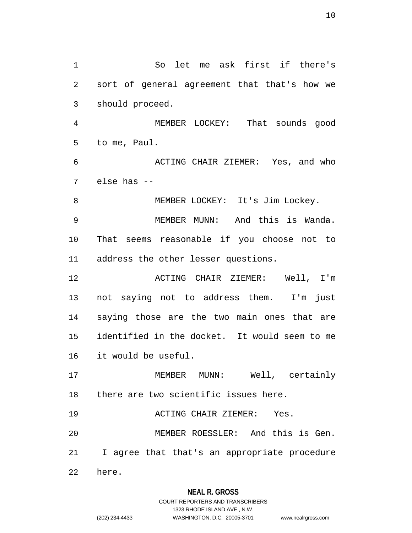1 So let me ask first if there's 2 sort of general agreement that that's how we 3 should proceed. 4 MEMBER LOCKEY: That sounds good 5 to me, Paul. 6 ACTING CHAIR ZIEMER: Yes, and who 7 else has -- 8 MEMBER LOCKEY: It's Jim Lockey. 9 MEMBER MUNN: And this is Wanda. 10 That seems reasonable if you choose not to 11 address the other lesser questions. 12 **ACTING CHAIR ZIEMER:** Well, I'm 13 not saying not to address them. I'm just 14 saying those are the two main ones that are 15 identified in the docket. It would seem to me 16 it would be useful. 17 MEMBER MUNN: Well, certainly 18 there are two scientific issues here. 19 ACTING CHAIR ZIEMER: Yes. 20 MEMBER ROESSLER: And this is Gen. 21 I agree that that's an appropriate procedure 22 here.

## **NEAL R. GROSS**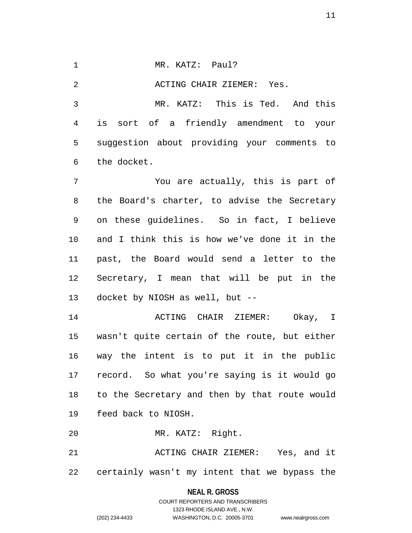1 MR. KATZ: Paul?

2 ACTING CHAIR ZIEMER: Yes.

3 MR. KATZ: This is Ted. And this 4 is sort of a friendly amendment to your 5 suggestion about providing your comments to 6 the docket.

7 You are actually, this is part of 8 the Board's charter, to advise the Secretary 9 on these guidelines. So in fact, I believe 10 and I think this is how we've done it in the 11 past, the Board would send a letter to the 12 Secretary, I mean that will be put in the 13 docket by NIOSH as well, but --

14 ACTING CHAIR ZIEMER: Okay, I 15 wasn't quite certain of the route, but either 16 way the intent is to put it in the public 17 record. So what you're saying is it would go 18 to the Secretary and then by that route would 19 feed back to NIOSH.

20 MR. KATZ: Right.

21 ACTING CHAIR ZIEMER: Yes, and it 22 certainly wasn't my intent that we bypass the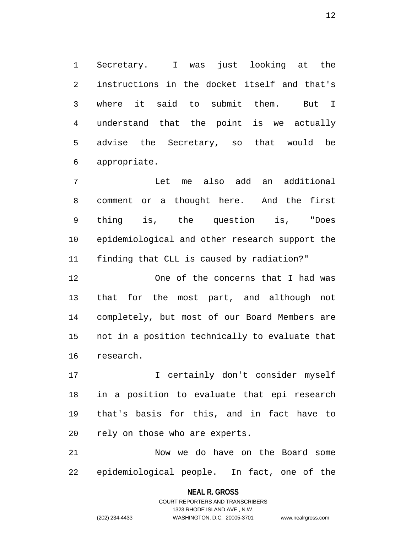1 Secretary. I was just looking at the 2 instructions in the docket itself and that's 3 where it said to submit them. But I 4 understand that the point is we actually 5 advise the Secretary, so that would be 6 appropriate.

7 Let me also add an additional 8 comment or a thought here. And the first 9 thing is, the question is, "Does 10 epidemiological and other research support the 11 finding that CLL is caused by radiation?"

12 One of the concerns that I had was 13 that for the most part, and although not 14 completely, but most of our Board Members are 15 not in a position technically to evaluate that 16 research.

17 I certainly don't consider myself 18 in a position to evaluate that epi research 19 that's basis for this, and in fact have to 20 rely on those who are experts.

21 Now we do have on the Board some 22 epidemiological people. In fact, one of the

## **NEAL R. GROSS** COURT REPORTERS AND TRANSCRIBERS

1323 RHODE ISLAND AVE., N.W. (202) 234-4433 WASHINGTON, D.C. 20005-3701 www.nealrgross.com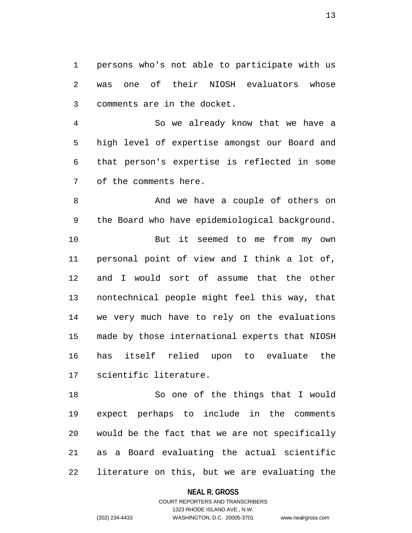1 persons who's not able to participate with us 2 was one of their NIOSH evaluators whose 3 comments are in the docket.

4 So we already know that we have a 5 high level of expertise amongst our Board and 6 that person's expertise is reflected in some 7 of the comments here.

8 And we have a couple of others on 9 the Board who have epidemiological background. 10 But it seemed to me from my own 11 personal point of view and I think a lot of, 12 and I would sort of assume that the other 13 nontechnical people might feel this way, that 14 we very much have to rely on the evaluations 15 made by those international experts that NIOSH 16 has itself relied upon to evaluate the 17 scientific literature.

18 So one of the things that I would 19 expect perhaps to include in the comments 20 would be the fact that we are not specifically 21 as a Board evaluating the actual scientific 22 literature on this, but we are evaluating the

#### **NEAL R. GROSS**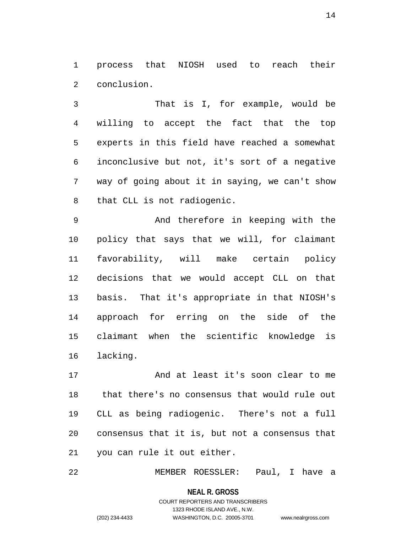1 process that NIOSH used to reach their 2 conclusion.

3 That is I, for example, would be 4 willing to accept the fact that the top 5 experts in this field have reached a somewhat 6 inconclusive but not, it's sort of a negative 7 way of going about it in saying, we can't show 8 that CLL is not radiogenic.

9 And therefore in keeping with the 10 policy that says that we will, for claimant 11 favorability, will make certain policy 12 decisions that we would accept CLL on that 13 basis. That it's appropriate in that NIOSH's 14 approach for erring on the side of the 15 claimant when the scientific knowledge is 16 lacking.

17 And at least it's soon clear to me 18 that there's no consensus that would rule out 19 CLL as being radiogenic. There's not a full 20 consensus that it is, but not a consensus that 21 you can rule it out either.

22 MEMBER ROESSLER: Paul, I have a

**NEAL R. GROSS**

COURT REPORTERS AND TRANSCRIBERS 1323 RHODE ISLAND AVE., N.W. (202) 234-4433 WASHINGTON, D.C. 20005-3701 www.nealrgross.com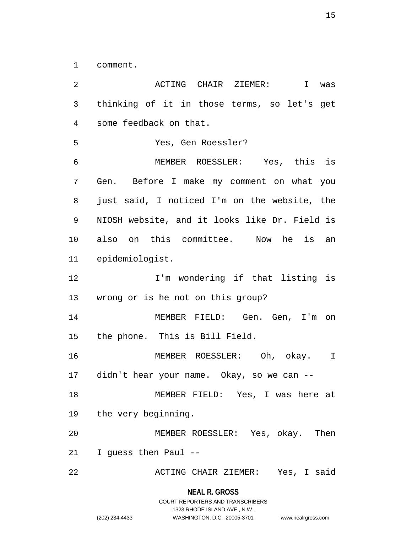1 comment.

2 ACTING CHAIR ZIEMER: I was 3 thinking of it in those terms, so let's get 4 some feedback on that. 5 Yes, Gen Roessler? 6 MEMBER ROESSLER: Yes, this is 7 Gen. Before I make my comment on what you 8 just said, I noticed I'm on the website, the 9 NIOSH website, and it looks like Dr. Field is 10 also on this committee. Now he is an 11 epidemiologist. 12 1'm wondering if that listing is 13 wrong or is he not on this group? 14 MEMBER FIELD: Gen. Gen, I'm on 15 the phone. This is Bill Field. 16 MEMBER ROESSLER: Oh, okay. I 17 didn't hear your name. Okay, so we can -- 18 MEMBER FIELD: Yes, I was here at 19 the very beginning. 20 MEMBER ROESSLER: Yes, okay. Then 21 I guess then Paul -- 22 ACTING CHAIR ZIEMER: Yes, I said

**NEAL R. GROSS**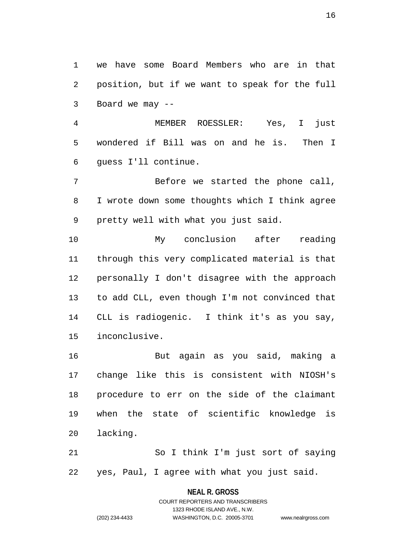1 we have some Board Members who are in that 2 position, but if we want to speak for the full 3 Board we may --

4 MEMBER ROESSLER: Yes, I just 5 wondered if Bill was on and he is. Then I 6 guess I'll continue.

7 Before we started the phone call, 8 I wrote down some thoughts which I think agree 9 pretty well with what you just said.

10 My conclusion after reading 11 through this very complicated material is that 12 personally I don't disagree with the approach 13 to add CLL, even though I'm not convinced that 14 CLL is radiogenic. I think it's as you say, 15 inconclusive.

16 But again as you said, making a 17 change like this is consistent with NIOSH's 18 procedure to err on the side of the claimant 19 when the state of scientific knowledge is 20 lacking.

21 So I think I'm just sort of saying 22 yes, Paul, I agree with what you just said.

> **NEAL R. GROSS** COURT REPORTERS AND TRANSCRIBERS 1323 RHODE ISLAND AVE., N.W. (202) 234-4433 WASHINGTON, D.C. 20005-3701 www.nealrgross.com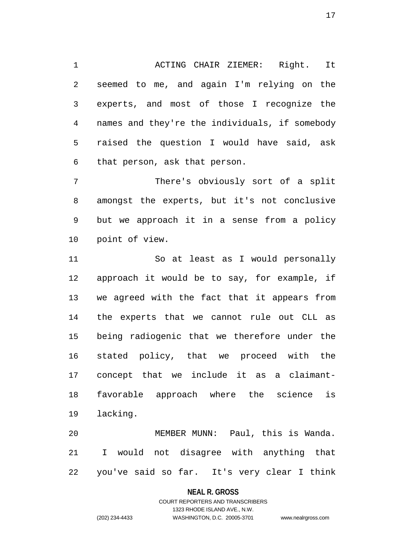1 ACTING CHAIR ZIEMER: Right. It 2 seemed to me, and again I'm relying on the 3 experts, and most of those I recognize the 4 names and they're the individuals, if somebody 5 raised the question I would have said, ask 6 that person, ask that person.

7 There's obviously sort of a split 8 amongst the experts, but it's not conclusive 9 but we approach it in a sense from a policy 10 point of view.

11 So at least as I would personally 12 approach it would be to say, for example, if 13 we agreed with the fact that it appears from 14 the experts that we cannot rule out CLL as 15 being radiogenic that we therefore under the 16 stated policy, that we proceed with the 17 concept that we include it as a claimant-18 favorable approach where the science is 19 lacking.

20 MEMBER MUNN: Paul, this is Wanda. 21 I would not disagree with anything that 22 you've said so far. It's very clear I think

### **NEAL R. GROSS**

## COURT REPORTERS AND TRANSCRIBERS 1323 RHODE ISLAND AVE., N.W. (202) 234-4433 WASHINGTON, D.C. 20005-3701 www.nealrgross.com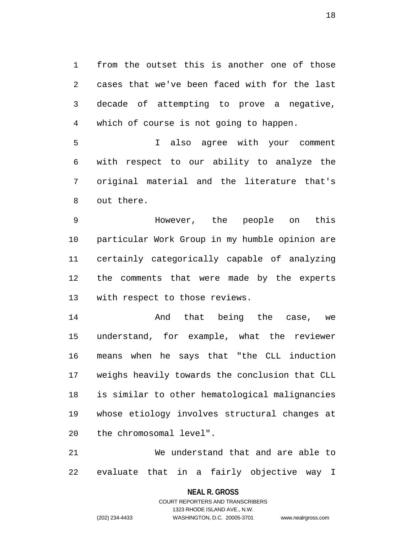1 from the outset this is another one of those 2 cases that we've been faced with for the last 3 decade of attempting to prove a negative, 4 which of course is not going to happen.

5 I also agree with your comment 6 with respect to our ability to analyze the 7 original material and the literature that's 8 out there.

9 However, the people on this 10 particular Work Group in my humble opinion are 11 certainly categorically capable of analyzing 12 the comments that were made by the experts 13 with respect to those reviews.

14 And that being the case, we 15 understand, for example, what the reviewer 16 means when he says that "the CLL induction 17 weighs heavily towards the conclusion that CLL 18 is similar to other hematological malignancies 19 whose etiology involves structural changes at 20 the chromosomal level".

21 We understand that and are able to 22 evaluate that in a fairly objective way I

**NEAL R. GROSS**

COURT REPORTERS AND TRANSCRIBERS 1323 RHODE ISLAND AVE., N.W. (202) 234-4433 WASHINGTON, D.C. 20005-3701 www.nealrgross.com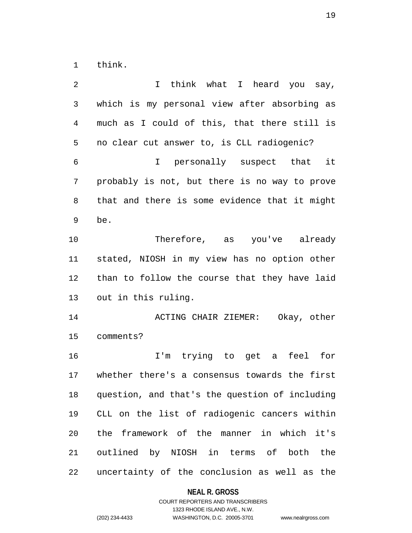1 think.

| 2  | think what I heard you say,<br>I.              |  |  |
|----|------------------------------------------------|--|--|
| 3  | which is my personal view after absorbing as   |  |  |
| 4  | much as I could of this, that there still is   |  |  |
| 5  | no clear cut answer to, is CLL radiogenic?     |  |  |
| 6  | I personally suspect that it                   |  |  |
| 7  | probably is not, but there is no way to prove  |  |  |
| 8  | that and there is some evidence that it might  |  |  |
| 9  | be.                                            |  |  |
| 10 | Therefore, as you've already                   |  |  |
| 11 | stated, NIOSH in my view has no option other   |  |  |
| 12 | than to follow the course that they have laid  |  |  |
| 13 | out in this ruling.                            |  |  |
| 14 | ACTING CHAIR ZIEMER: Okay, other               |  |  |
| 15 | comments?                                      |  |  |
| 16 | I'm trying to get a feel for                   |  |  |
| 17 | whether there's a consensus towards the first  |  |  |
| 18 | question, and that's the question of including |  |  |
| 19 | CLL on the list of radiogenic cancers within   |  |  |
| 20 | the framework of the manner in which it's      |  |  |
| 21 | outlined by NIOSH in terms of both the         |  |  |
| 22 | uncertainty of the conclusion as well as the   |  |  |

# **NEAL R. GROSS**

## COURT REPORTERS AND TRANSCRIBERS 1323 RHODE ISLAND AVE., N.W. (202) 234-4433 WASHINGTON, D.C. 20005-3701 www.nealrgross.com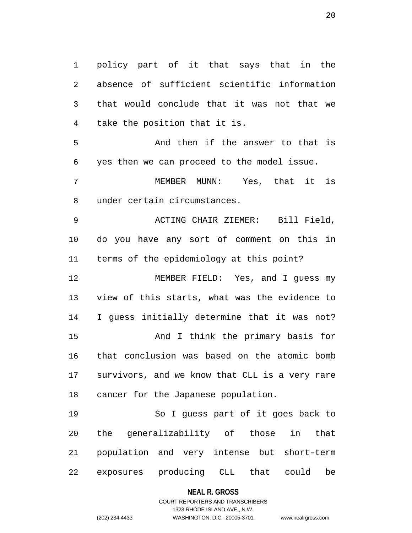1 policy part of it that says that in the 2 absence of sufficient scientific information 3 that would conclude that it was not that we 4 take the position that it is.

5 And then if the answer to that is 6 yes then we can proceed to the model issue.

7 MEMBER MUNN: Yes, that it is 8 under certain circumstances.

9 ACTING CHAIR ZIEMER: Bill Field, 10 do you have any sort of comment on this in 11 terms of the epidemiology at this point?

12 MEMBER FIELD: Yes, and I guess my 13 view of this starts, what was the evidence to 14 I guess initially determine that it was not? 15 And I think the primary basis for 16 that conclusion was based on the atomic bomb 17 survivors, and we know that CLL is a very rare 18 cancer for the Japanese population.

19 So I guess part of it goes back to 20 the generalizability of those in that 21 population and very intense but short-term 22 exposures producing CLL that could be

#### **NEAL R. GROSS**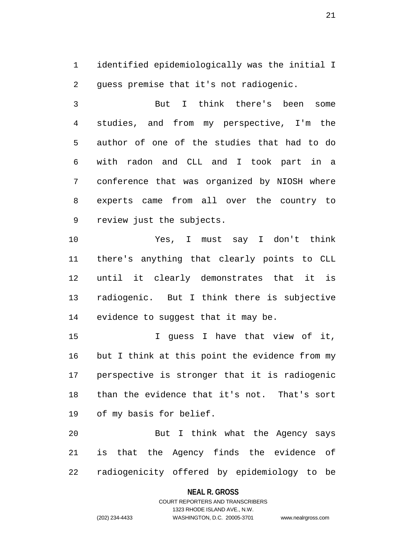1 identified epidemiologically was the initial I 2 guess premise that it's not radiogenic.

3 But I think there's been some 4 studies, and from my perspective, I'm the 5 author of one of the studies that had to do 6 with radon and CLL and I took part in a 7 conference that was organized by NIOSH where 8 experts came from all over the country to 9 review just the subjects.

10 Yes, I must say I don't think 11 there's anything that clearly points to CLL 12 until it clearly demonstrates that it is 13 radiogenic. But I think there is subjective 14 evidence to suggest that it may be.

15 I guess I have that view of it, 16 but I think at this point the evidence from my 17 perspective is stronger that it is radiogenic 18 than the evidence that it's not. That's sort 19 of my basis for belief.

20 But I think what the Agency says 21 is that the Agency finds the evidence of 22 radiogenicity offered by epidemiology to be

### **NEAL R. GROSS**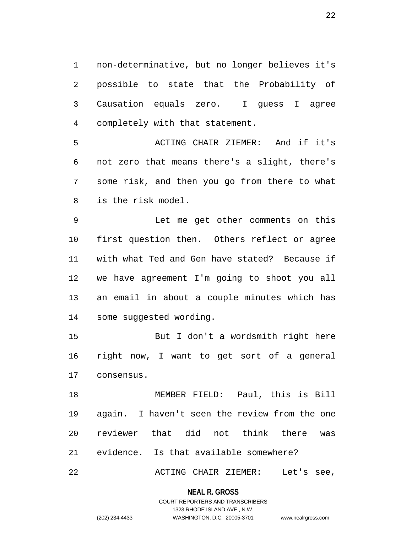1 non-determinative, but no longer believes it's 2 possible to state that the Probability of 3 Causation equals zero. I guess I agree 4 completely with that statement.

5 ACTING CHAIR ZIEMER: And if it's 6 not zero that means there's a slight, there's 7 some risk, and then you go from there to what 8 is the risk model.

9 Let me get other comments on this 10 first question then. Others reflect or agree 11 with what Ted and Gen have stated? Because if 12 we have agreement I'm going to shoot you all 13 an email in about a couple minutes which has 14 some suggested wording.

15 But I don't a wordsmith right here 16 right now, I want to get sort of a general 17 consensus.

18 MEMBER FIELD: Paul, this is Bill 19 again. I haven't seen the review from the one 20 reviewer that did not think there was 21 evidence. Is that available somewhere?

22 ACTING CHAIR ZIEMER: Let's see,

### **NEAL R. GROSS**

## COURT REPORTERS AND TRANSCRIBERS 1323 RHODE ISLAND AVE., N.W. (202) 234-4433 WASHINGTON, D.C. 20005-3701 www.nealrgross.com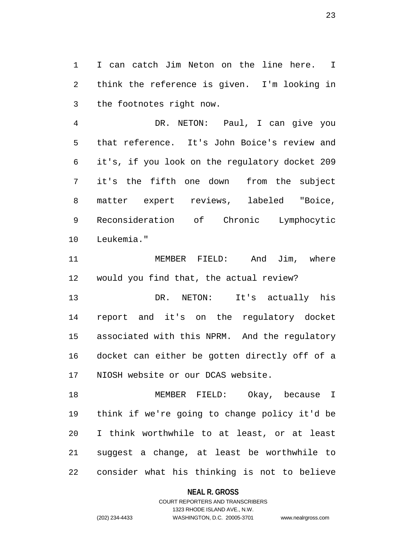1 I can catch Jim Neton on the line here. I 2 think the reference is given. I'm looking in 3 the footnotes right now.

4 DR. NETON: Paul, I can give you 5 that reference. It's John Boice's review and 6 it's, if you look on the regulatory docket 209 7 it's the fifth one down from the subject 8 matter expert reviews, labeled "Boice, 9 Reconsideration of Chronic Lymphocytic 10 Leukemia."

11 MEMBER FIELD: And Jim, where 12 would you find that, the actual review?

13 DR. NETON: It's actually his 14 report and it's on the regulatory docket 15 associated with this NPRM. And the regulatory 16 docket can either be gotten directly off of a 17 NIOSH website or our DCAS website.

18 MEMBER FIELD: Okay, because I 19 think if we're going to change policy it'd be 20 I think worthwhile to at least, or at least 21 suggest a change, at least be worthwhile to 22 consider what his thinking is not to believe

### **NEAL R. GROSS**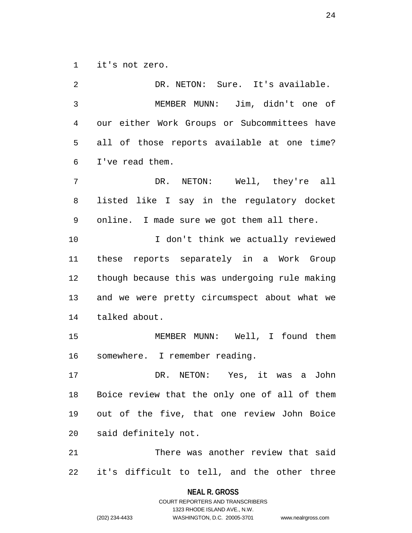1 it's not zero.

| 2              | DR. NETON: Sure. It's available.               |
|----------------|------------------------------------------------|
| $\mathfrak{Z}$ | MEMBER MUNN: Jim, didn't one of                |
| $\overline{4}$ | our either Work Groups or Subcommittees have   |
| 5              | all of those reports available at one time?    |
| 6              | I've read them.                                |
| $\overline{7}$ | DR. NETON: Well, they're all                   |
| 8              | listed like I say in the regulatory docket     |
| 9              | online. I made sure we got them all there.     |
| 10             | I don't think we actually reviewed             |
| 11             | these reports separately in a Work Group       |
| 12             | though because this was undergoing rule making |
| 13             | and we were pretty circumspect about what we   |
| 14             | talked about.                                  |
| 15             | MEMBER MUNN: Well, I found them                |
| 16             | somewhere. I remember reading.                 |
| 17             | DR. NETON: Yes, it was a<br>John               |
| 18             | Boice review that the only one of all of them  |
| 19             | out of the five, that one review John Boice    |
| 20             | said definitely not.                           |
| 21             | There was another review that said             |
| 22             | it's difficult to tell, and the other three    |
|                |                                                |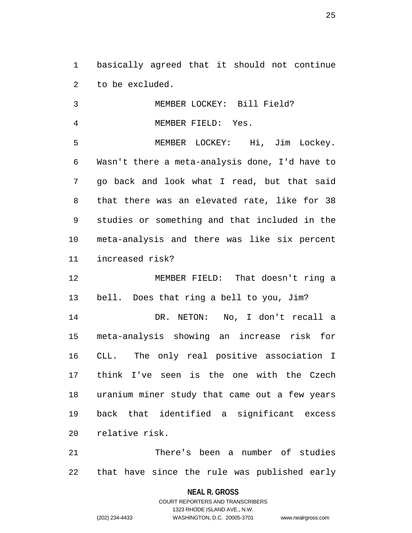1 basically agreed that it should not continue 2 to be excluded.

3 MEMBER LOCKEY: Bill Field? 4 MEMBER FIELD: Yes. 5 MEMBER LOCKEY: Hi, Jim Lockey. 6 Wasn't there a meta-analysis done, I'd have to 7 go back and look what I read, but that said 8 that there was an elevated rate, like for 38 9 studies or something and that included in the 10 meta-analysis and there was like six percent 11 increased risk? 12 MEMBER FIELD: That doesn't ring a 13 bell. Does that ring a bell to you, Jim? 14 DR. NETON: No, I don't recall a 15 meta-analysis showing an increase risk for 16 CLL. The only real positive association I 17 think I've seen is the one with the Czech 18 uranium miner study that came out a few years

19 back that identified a significant excess 20 relative risk.

21 There's been a number of studies 22 that have since the rule was published early

**NEAL R. GROSS**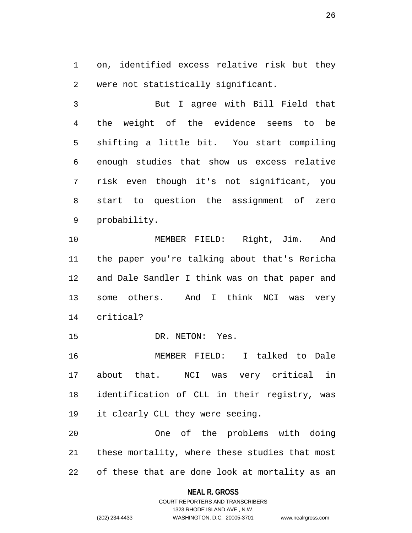1 on, identified excess relative risk but they 2 were not statistically significant.

3 But I agree with Bill Field that 4 the weight of the evidence seems to be 5 shifting a little bit. You start compiling 6 enough studies that show us excess relative 7 risk even though it's not significant, you 8 start to question the assignment of zero 9 probability.

10 MEMBER FIELD: Right, Jim. And 11 the paper you're talking about that's Rericha 12 and Dale Sandler I think was on that paper and 13 some others. And I think NCI was very 14 critical?

15 DR. NETON: Yes.

16 MEMBER FIELD: I talked to Dale 17 about that. NCI was very critical in 18 identification of CLL in their registry, was 19 it clearly CLL they were seeing.

20 One of the problems with doing 21 these mortality, where these studies that most 22 of these that are done look at mortality as an

### **NEAL R. GROSS**

## COURT REPORTERS AND TRANSCRIBERS 1323 RHODE ISLAND AVE., N.W. (202) 234-4433 WASHINGTON, D.C. 20005-3701 www.nealrgross.com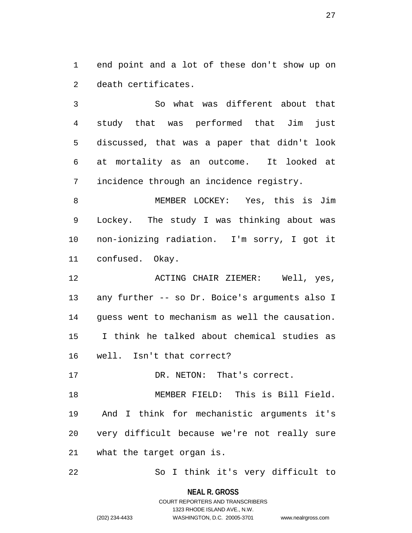1 end point and a lot of these don't show up on 2 death certificates.

3 So what was different about that 4 study that was performed that Jim just 5 discussed, that was a paper that didn't look 6 at mortality as an outcome. It looked at 7 incidence through an incidence registry.

8 MEMBER LOCKEY: Yes, this is Jim 9 Lockey. The study I was thinking about was 10 non-ionizing radiation. I'm sorry, I got it 11 confused. Okay.

12 ACTING CHAIR ZIEMER: Well, yes, 13 any further -- so Dr. Boice's arguments also I 14 guess went to mechanism as well the causation. 15 I think he talked about chemical studies as 16 well. Isn't that correct?

17 DR. NETON: That's correct.

18 MEMBER FIELD: This is Bill Field. 19 And I think for mechanistic arguments it's 20 very difficult because we're not really sure 21 what the target organ is.

22 So I think it's very difficult to

**NEAL R. GROSS**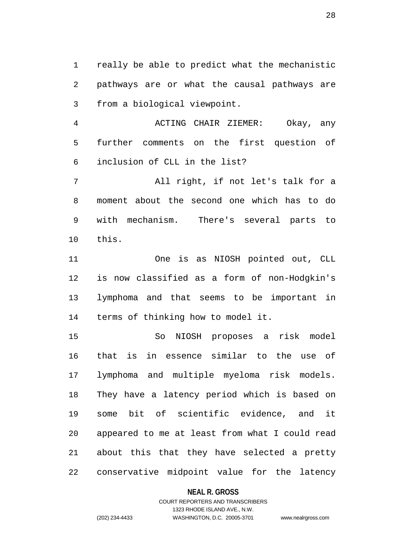1 really be able to predict what the mechanistic 2 pathways are or what the causal pathways are 3 from a biological viewpoint.

4 ACTING CHAIR ZIEMER: Okay, any 5 further comments on the first question of 6 inclusion of CLL in the list?

7 All right, if not let's talk for a 8 moment about the second one which has to do 9 with mechanism. There's several parts to 10 this.

11 One is as NIOSH pointed out, CLL 12 is now classified as a form of non-Hodgkin's 13 lymphoma and that seems to be important in 14 terms of thinking how to model it.

15 So NIOSH proposes a risk model 16 that is in essence similar to the use of 17 lymphoma and multiple myeloma risk models. 18 They have a latency period which is based on 19 some bit of scientific evidence, and it 20 appeared to me at least from what I could read 21 about this that they have selected a pretty 22 conservative midpoint value for the latency

### **NEAL R. GROSS**

## COURT REPORTERS AND TRANSCRIBERS 1323 RHODE ISLAND AVE., N.W. (202) 234-4433 WASHINGTON, D.C. 20005-3701 www.nealrgross.com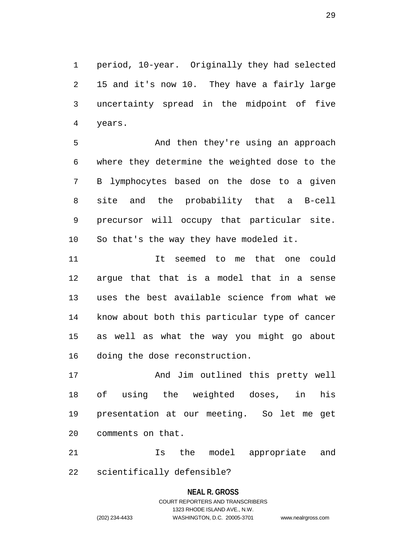1 period, 10-year. Originally they had selected 2 15 and it's now 10. They have a fairly large 3 uncertainty spread in the midpoint of five 4 years.

5 And then they're using an approach 6 where they determine the weighted dose to the 7 B lymphocytes based on the dose to a given 8 site and the probability that a B-cell 9 precursor will occupy that particular site. 10 So that's the way they have modeled it.

11 It seemed to me that one could 12 argue that that is a model that in a sense 13 uses the best available science from what we 14 know about both this particular type of cancer 15 as well as what the way you might go about 16 doing the dose reconstruction.

17 And Jim outlined this pretty well 18 of using the weighted doses, in his 19 presentation at our meeting. So let me get 20 comments on that.

21 Is the model appropriate and 22 scientifically defensible?

### **NEAL R. GROSS**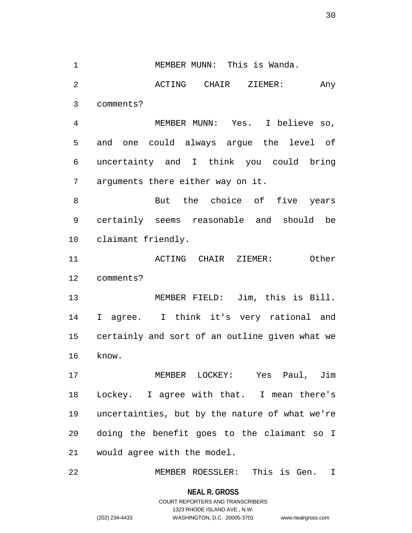30

1 MEMBER MUNN: This is Wanda. 2 ACTING CHAIR ZIEMER: Any 3 comments? 4 MEMBER MUNN: Yes. I believe so, 5 and one could always argue the level of 6 uncertainty and I think you could bring 7 arguments there either way on it. 8 But the choice of five years 9 certainly seems reasonable and should be 10 claimant friendly. 11 ACTING CHAIR ZIEMER: Other 12 comments? 13 MEMBER FIELD: Jim, this is Bill. 14 I agree. I think it's very rational and 15 certainly and sort of an outline given what we 16 know. 17 MEMBER LOCKEY: Yes Paul, Jim 18 Lockey. I agree with that. I mean there's 19 uncertainties, but by the nature of what we're 20 doing the benefit goes to the claimant so I 21 would agree with the model. 22 MEMBER ROESSLER: This is Gen. I

**NEAL R. GROSS**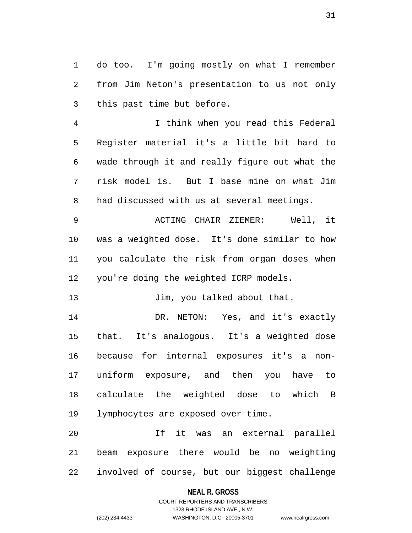1 do too. I'm going mostly on what I remember 2 from Jim Neton's presentation to us not only 3 this past time but before.

4 I think when you read this Federal 5 Register material it's a little bit hard to 6 wade through it and really figure out what the 7 risk model is. But I base mine on what Jim 8 had discussed with us at several meetings.

9 ACTING CHAIR ZIEMER: Well, it 10 was a weighted dose. It's done similar to how 11 you calculate the risk from organ doses when 12 you're doing the weighted ICRP models.

13 Jim, you talked about that.

14 DR. NETON: Yes, and it's exactly 15 that. It's analogous. It's a weighted dose 16 because for internal exposures it's a non-17 uniform exposure, and then you have to 18 calculate the weighted dose to which B 19 lymphocytes are exposed over time.

20 If it was an external parallel 21 beam exposure there would be no weighting 22 involved of course, but our biggest challenge

### **NEAL R. GROSS**

## COURT REPORTERS AND TRANSCRIBERS 1323 RHODE ISLAND AVE., N.W. (202) 234-4433 WASHINGTON, D.C. 20005-3701 www.nealrgross.com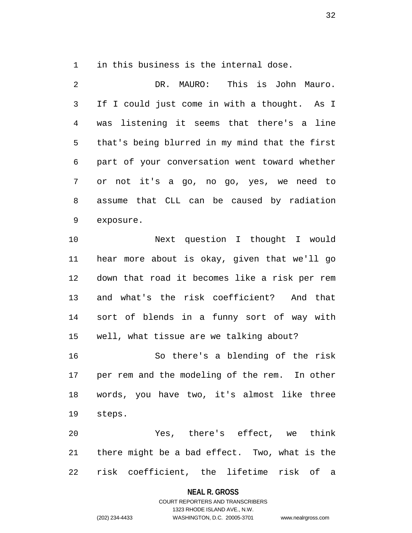1 in this business is the internal dose.

2 DR. MAURO: This is John Mauro. 3 If I could just come in with a thought. As I 4 was listening it seems that there's a line 5 that's being blurred in my mind that the first 6 part of your conversation went toward whether 7 or not it's a go, no go, yes, we need to 8 assume that CLL can be caused by radiation 9 exposure.

10 Next question I thought I would 11 hear more about is okay, given that we'll go 12 down that road it becomes like a risk per rem 13 and what's the risk coefficient? And that 14 sort of blends in a funny sort of way with 15 well, what tissue are we talking about?

16 So there's a blending of the risk 17 per rem and the modeling of the rem. In other 18 words, you have two, it's almost like three 19 steps.

20 Yes, there's effect, we think 21 there might be a bad effect. Two, what is the 22 risk coefficient, the lifetime risk of a

#### **NEAL R. GROSS**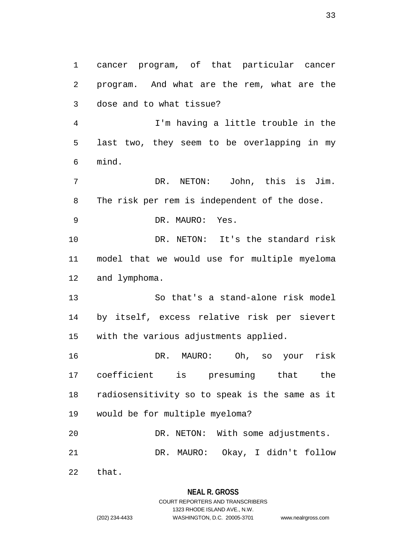1 cancer program, of that particular cancer 2 program. And what are the rem, what are the 3 dose and to what tissue? 4 I'm having a little trouble in the

5 last two, they seem to be overlapping in my 6 mind.

7 DR. NETON: John, this is Jim. 8 The risk per rem is independent of the dose.

9 DR. MAURO: Yes.

10 DR. NETON: It's the standard risk 11 model that we would use for multiple myeloma 12 and lymphoma.

13 So that's a stand-alone risk model 14 by itself, excess relative risk per sievert 15 with the various adjustments applied.

16 DR. MAURO: Oh, so your risk 17 coefficient is presuming that the 18 radiosensitivity so to speak is the same as it 19 would be for multiple myeloma? 20 DR. NETON: With some adjustments.

21 DR. MAURO: Okay, I didn't follow

22 that.

## **NEAL R. GROSS**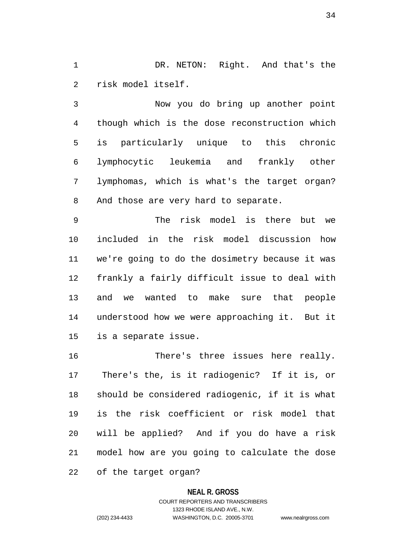1 DR. NETON: Right. And that's the 2 risk model itself.

3 Now you do bring up another point 4 though which is the dose reconstruction which 5 is particularly unique to this chronic 6 lymphocytic leukemia and frankly other 7 lymphomas, which is what's the target organ? 8 And those are very hard to separate.

9 The risk model is there but we 10 included in the risk model discussion how 11 we're going to do the dosimetry because it was 12 frankly a fairly difficult issue to deal with 13 and we wanted to make sure that people 14 understood how we were approaching it. But it 15 is a separate issue.

16 There's three issues here really. 17 There's the, is it radiogenic? If it is, or 18 should be considered radiogenic, if it is what 19 is the risk coefficient or risk model that 20 will be applied? And if you do have a risk 21 model how are you going to calculate the dose

22 of the target organ?

### **NEAL R. GROSS**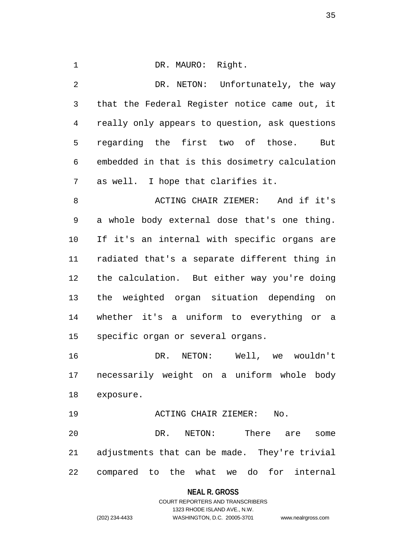1 DR. MAURO: Right.

2 DR. NETON: Unfortunately, the way 3 that the Federal Register notice came out, it 4 really only appears to question, ask questions 5 regarding the first two of those. But 6 embedded in that is this dosimetry calculation 7 as well. I hope that clarifies it. 8 ACTING CHAIR ZIEMER: And if it's 9 a whole body external dose that's one thing. 10 If it's an internal with specific organs are 11 radiated that's a separate different thing in

12 the calculation. But either way you're doing 13 the weighted organ situation depending on 14 whether it's a uniform to everything or a 15 specific organ or several organs.

16 DR. NETON: Well, we wouldn't 17 necessarily weight on a uniform whole body 18 exposure.

19 ACTING CHAIR ZIEMER: No.

20 DR. NETON: There are some 21 adjustments that can be made. They're trivial 22 compared to the what we do for internal

**NEAL R. GROSS**

COURT REPORTERS AND TRANSCRIBERS 1323 RHODE ISLAND AVE., N.W. (202) 234-4433 WASHINGTON, D.C. 20005-3701 www.nealrgross.com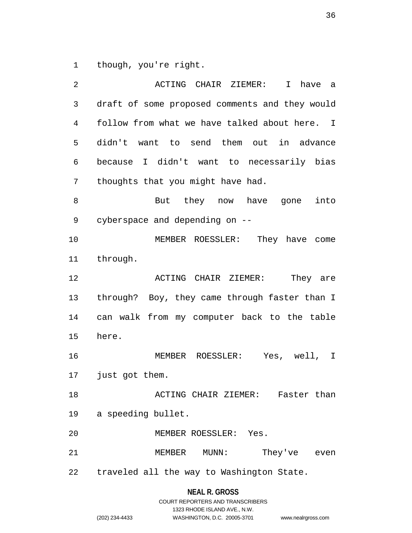1 though, you're right.

2 ACTING CHAIR ZIEMER: I have a 3 draft of some proposed comments and they would 4 follow from what we have talked about here. I 5 didn't want to send them out in advance 6 because I didn't want to necessarily bias 7 thoughts that you might have had. 8 But they now have gone into 9 cyberspace and depending on -- 10 MEMBER ROESSLER: They have come 11 through. 12 **12 ACTING CHAIR ZIEMER:** They are 13 through? Boy, they came through faster than I 14 can walk from my computer back to the table 15 here. 16 MEMBER ROESSLER: Yes, well, I 17 just got them. 18 ACTING CHAIR ZIEMER: Faster than 19 a speeding bullet. 20 MEMBER ROESSLER: Yes. 21 MEMBER MUNN: They've even 22 traveled all the way to Washington State.

## **NEAL R. GROSS**

|                | COURT REPORTERS AND TRANSCRIBERS |                    |
|----------------|----------------------------------|--------------------|
|                | 1323 RHODE ISLAND AVE N.W.       |                    |
| (202) 234-4433 | WASHINGTON, D.C. 20005-3701      | www.nealrgross.com |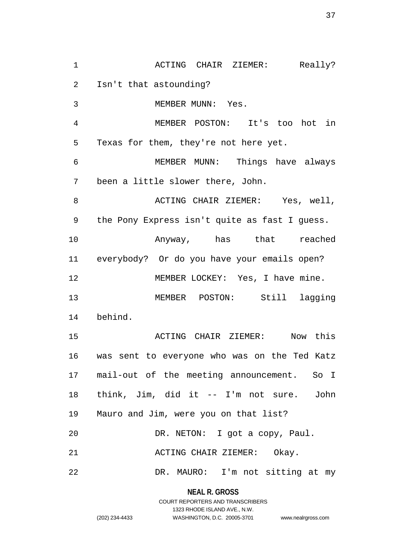1 ACTING CHAIR ZIEMER: Really? 2 Isn't that astounding? 3 MEMBER MUNN: Yes. 4 MEMBER POSTON: It's too hot in 5 Texas for them, they're not here yet. 6 MEMBER MUNN: Things have always 7 been a little slower there, John. 8 ACTING CHAIR ZIEMER: Yes, well, 9 the Pony Express isn't quite as fast I guess. 10 Anyway, has that reached 11 everybody? Or do you have your emails open? 12 MEMBER LOCKEY: Yes, I have mine. 13 MEMBER POSTON: Still lagging 14 behind. 15 ACTING CHAIR ZIEMER: Now this 16 was sent to everyone who was on the Ted Katz 17 mail-out of the meeting announcement. So I 18 think, Jim, did it -- I'm not sure. John 19 Mauro and Jim, were you on that list? 20 DR. NETON: I got a copy, Paul. 21 ACTING CHAIR ZIEMER: Okay. 22 DR. MAURO: I'm not sitting at my

> **NEAL R. GROSS** COURT REPORTERS AND TRANSCRIBERS 1323 RHODE ISLAND AVE., N.W.

(202) 234-4433 WASHINGTON, D.C. 20005-3701 www.nealrgross.com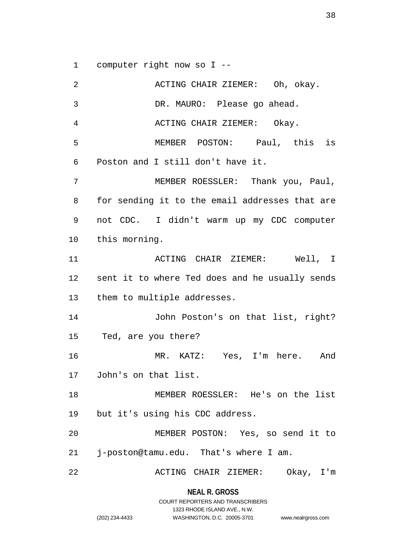1 computer right now so I --

2 ACTING CHAIR ZIEMER: Oh, okay. 3 DR. MAURO: Please go ahead. 4 ACTING CHAIR ZIEMER: Okay. 5 MEMBER POSTON: Paul, this is 6 Poston and I still don't have it. 7 MEMBER ROESSLER: Thank you, Paul, 8 for sending it to the email addresses that are 9 not CDC. I didn't warm up my CDC computer 10 this morning. 11 ACTING CHAIR ZIEMER: Well, I 12 sent it to where Ted does and he usually sends 13 them to multiple addresses. 14 John Poston's on that list, right? 15 Ted, are you there? 16 MR. KATZ: Yes, I'm here. And 17 John's on that list. 18 MEMBER ROESSLER: He's on the list 19 but it's using his CDC address. 20 MEMBER POSTON: Yes, so send it to 21 j-poston@tamu.edu. That's where I am. 22 ACTING CHAIR ZIEMER: Okay, I'm

**NEAL R. GROSS**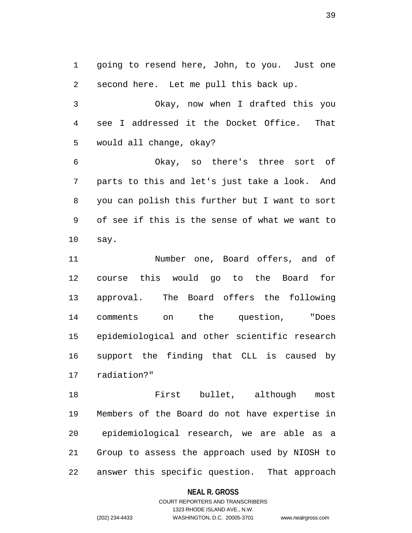1 going to resend here, John, to you. Just one 2 second here. Let me pull this back up.

3 Okay, now when I drafted this you 4 see I addressed it the Docket Office. That 5 would all change, okay?

6 Okay, so there's three sort of 7 parts to this and let's just take a look. And 8 you can polish this further but I want to sort 9 of see if this is the sense of what we want to 10 say.

11 Number one, Board offers, and of 12 course this would go to the Board for 13 approval. The Board offers the following 14 comments on the question, "Does 15 epidemiological and other scientific research 16 support the finding that CLL is caused by 17 radiation?"

18 First bullet, although most 19 Members of the Board do not have expertise in 20 epidemiological research, we are able as a 21 Group to assess the approach used by NIOSH to 22 answer this specific question. That approach

### **NEAL R. GROSS**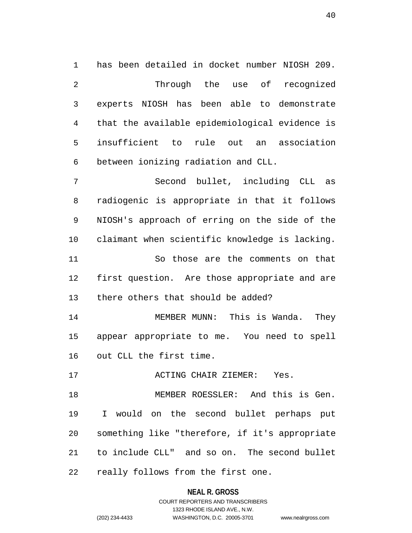1 has been detailed in docket number NIOSH 209. 2 Through the use of recognized 3 experts NIOSH has been able to demonstrate 4 that the available epidemiological evidence is 5 insufficient to rule out an association 6 between ionizing radiation and CLL.

7 Second bullet, including CLL as 8 radiogenic is appropriate in that it follows 9 NIOSH's approach of erring on the side of the 10 claimant when scientific knowledge is lacking. 11 So those are the comments on that 12 first question. Are those appropriate and are 13 there others that should be added?

14 MEMBER MUNN: This is Wanda. They 15 appear appropriate to me. You need to spell 16 out CLL the first time.

17 ACTING CHAIR ZIEMER: Yes.

18 MEMBER ROESSLER: And this is Gen. 19 I would on the second bullet perhaps put 20 something like "therefore, if it's appropriate 21 to include CLL" and so on. The second bullet 22 really follows from the first one.

### **NEAL R. GROSS**

COURT REPORTERS AND TRANSCRIBERS 1323 RHODE ISLAND AVE., N.W. (202) 234-4433 WASHINGTON, D.C. 20005-3701 www.nealrgross.com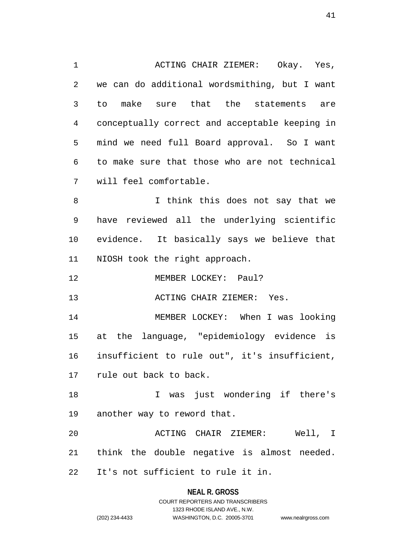1 ACTING CHAIR ZIEMER: Okay. Yes, 2 we can do additional wordsmithing, but I want 3 to make sure that the statements are 4 conceptually correct and acceptable keeping in 5 mind we need full Board approval. So I want 6 to make sure that those who are not technical 7 will feel comfortable. 8 I think this does not say that we 9 have reviewed all the underlying scientific 10 evidence. It basically says we believe that 11 NIOSH took the right approach. 12 MEMBER LOCKEY: Paul? 13 ACTING CHAIR ZIEMER: Yes. 14 MEMBER LOCKEY: When I was looking 15 at the language, "epidemiology evidence is 16 insufficient to rule out", it's insufficient, 17 rule out back to back. 18 I was just wondering if there's 19 another way to reword that. 20 ACTING CHAIR ZIEMER: Well, I 21 think the double negative is almost needed. 22 It's not sufficient to rule it in.

**NEAL R. GROSS**

COURT REPORTERS AND TRANSCRIBERS 1323 RHODE ISLAND AVE., N.W. (202) 234-4433 WASHINGTON, D.C. 20005-3701 www.nealrgross.com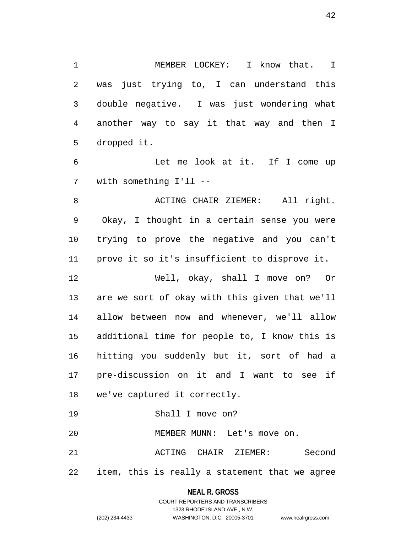1 MEMBER LOCKEY: I know that. I 2 was just trying to, I can understand this 3 double negative. I was just wondering what 4 another way to say it that way and then I 5 dropped it.

6 Let me look at it. If I come up 7 with something I'll --

8 ACTING CHAIR ZIEMER: All right. 9 Okay, I thought in a certain sense you were 10 trying to prove the negative and you can't 11 prove it so it's insufficient to disprove it.

12 Well, okay, shall I move on? Or 13 are we sort of okay with this given that we'll 14 allow between now and whenever, we'll allow 15 additional time for people to, I know this is 16 hitting you suddenly but it, sort of had a 17 pre-discussion on it and I want to see if 18 we've captured it correctly.

19 Shall I move on?

20 MEMBER MUNN: Let's move on.

21 ACTING CHAIR ZIEMER: Second 22 item, this is really a statement that we agree

### **NEAL R. GROSS**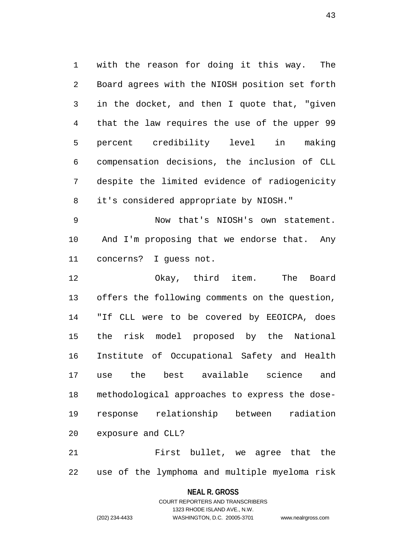1 with the reason for doing it this way. The 2 Board agrees with the NIOSH position set forth 3 in the docket, and then I quote that, "given 4 that the law requires the use of the upper 99 5 percent credibility level in making 6 compensation decisions, the inclusion of CLL 7 despite the limited evidence of radiogenicity 8 it's considered appropriate by NIOSH."

9 Now that's NIOSH's own statement. 10 And I'm proposing that we endorse that. Any 11 concerns? I guess not.

12 Okay, third item. The Board 13 offers the following comments on the question, 14 "If CLL were to be covered by EEOICPA, does 15 the risk model proposed by the National 16 Institute of Occupational Safety and Health 17 use the best available science and 18 methodological approaches to express the dose-19 response relationship between radiation 20 exposure and CLL?

21 First bullet, we agree that the 22 use of the lymphoma and multiple myeloma risk

#### **NEAL R. GROSS**

COURT REPORTERS AND TRANSCRIBERS 1323 RHODE ISLAND AVE., N.W. (202) 234-4433 WASHINGTON, D.C. 20005-3701 www.nealrgross.com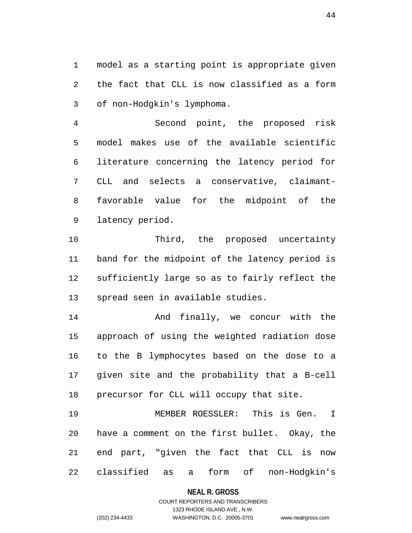1 model as a starting point is appropriate given 2 the fact that CLL is now classified as a form 3 of non-Hodgkin's lymphoma.

4 Second point, the proposed risk 5 model makes use of the available scientific 6 literature concerning the latency period for 7 CLL and selects a conservative, claimant-8 favorable value for the midpoint of the 9 latency period.

10 Third, the proposed uncertainty 11 band for the midpoint of the latency period is 12 sufficiently large so as to fairly reflect the 13 spread seen in available studies.

14 And finally, we concur with the 15 approach of using the weighted radiation dose 16 to the B lymphocytes based on the dose to a 17 given site and the probability that a B-cell 18 precursor for CLL will occupy that site.

19 MEMBER ROESSLER: This is Gen. I 20 have a comment on the first bullet. Okay, the 21 end part, "given the fact that CLL is now 22 classified as a form of non-Hodgkin's

#### **NEAL R. GROSS**

## COURT REPORTERS AND TRANSCRIBERS 1323 RHODE ISLAND AVE., N.W. (202) 234-4433 WASHINGTON, D.C. 20005-3701 www.nealrgross.com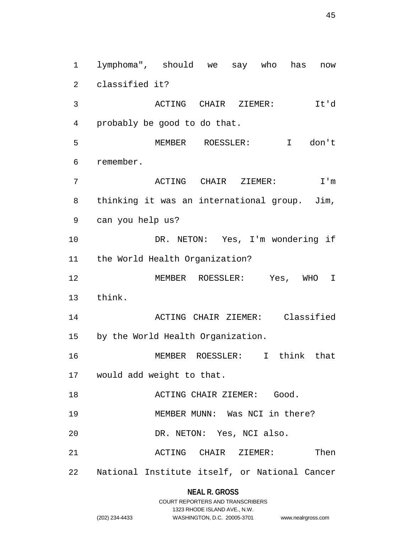1 lymphoma", should we say who has now 2 classified it? 3 ACTING CHAIR ZIEMER: It'd 4 probably be good to do that. 5 MEMBER ROESSLER: I don't 6 remember. 7 ACTING CHAIR ZIEMER: I'm 8 thinking it was an international group. Jim, 9 can you help us? 10 DR. NETON: Yes, I'm wondering if 11 the World Health Organization? 12 MEMBER ROESSLER: Yes, WHO I 13 think. 14 ACTING CHAIR ZIEMER: Classified 15 by the World Health Organization. 16 MEMBER ROESSLER: I think that 17 would add weight to that. 18 ACTING CHAIR ZIEMER: Good. 19 MEMBER MUNN: Was NCI in there? 20 DR. NETON: Yes, NCI also. 21 ACTING CHAIR ZIEMER: Then 22 National Institute itself, or National Cancer

### **NEAL R. GROSS**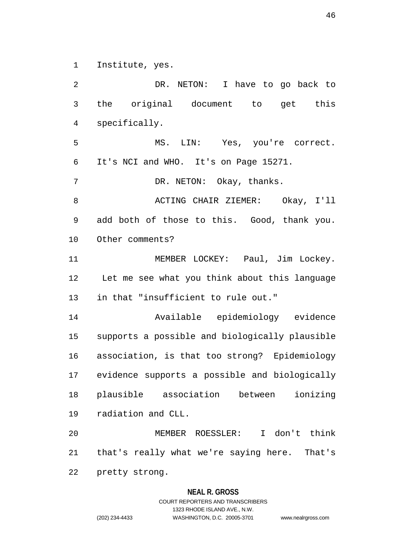1 Institute, yes.

2 DR. NETON: I have to go back to 3 the original document to get this 4 specifically. 5 MS. LIN: Yes, you're correct. 6 It's NCI and WHO. It's on Page 15271. 7 DR. NETON: Okay, thanks. 8 ACTING CHAIR ZIEMER: Okay, I'll 9 add both of those to this. Good, thank you. 10 Other comments? 11 MEMBER LOCKEY: Paul, Jim Lockey. 12 Let me see what you think about this language 13 in that "insufficient to rule out." 14 Available epidemiology evidence 15 supports a possible and biologically plausible 16 association, is that too strong? Epidemiology 17 evidence supports a possible and biologically 18 plausible association between ionizing 19 radiation and CLL. 20 MEMBER ROESSLER: I don't think 21 that's really what we're saying here. That's 22 pretty strong.

#### **NEAL R. GROSS**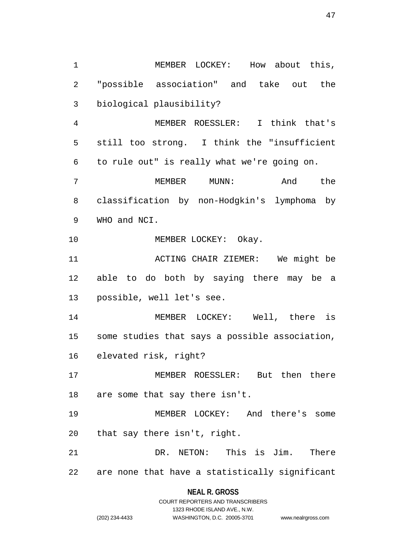1 MEMBER LOCKEY: How about this, 2 "possible association" and take out the 3 biological plausibility? 4 MEMBER ROESSLER: I think that's 5 still too strong. I think the "insufficient 6 to rule out" is really what we're going on. 7 MEMBER MUNN: And the 8 classification by non-Hodgkin's lymphoma by 9 WHO and NCI. 10 MEMBER LOCKEY: Okay. 11 ACTING CHAIR ZIEMER: We might be 12 able to do both by saying there may be a 13 possible, well let's see. 14 MEMBER LOCKEY: Well, there is 15 some studies that says a possible association, 16 elevated risk, right? 17 MEMBER ROESSLER: But then there 18 are some that say there isn't. 19 MEMBER LOCKEY: And there's some 20 that say there isn't, right. 21 DR. NETON: This is Jim. There 22 are none that have a statistically significant

### **NEAL R. GROSS**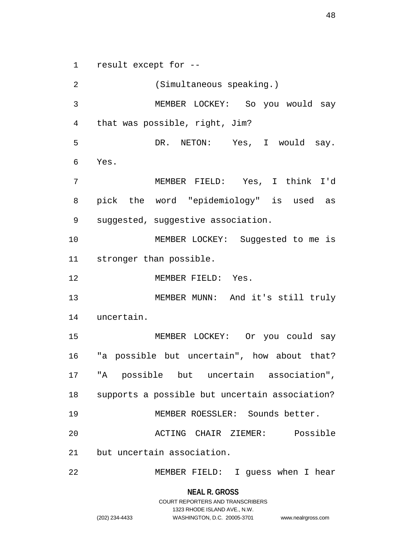1 result except for --

2 (Simultaneous speaking.) 3 MEMBER LOCKEY: So you would say 4 that was possible, right, Jim? 5 DR. NETON: Yes, I would say. 6 Yes. 7 MEMBER FIELD: Yes, I think I'd 8 pick the word "epidemiology" is used as 9 suggested, suggestive association. 10 MEMBER LOCKEY: Suggested to me is 11 stronger than possible. 12 MEMBER FIELD: Yes. 13 MEMBER MUNN: And it's still truly 14 uncertain. 15 MEMBER LOCKEY: Or you could say 16 "a possible but uncertain", how about that? 17 "A possible but uncertain association", 18 supports a possible but uncertain association? 19 MEMBER ROESSLER: Sounds better. 20 ACTING CHAIR ZIEMER: Possible 21 but uncertain association. 22 MEMBER FIELD: I guess when I hear

> **NEAL R. GROSS** COURT REPORTERS AND TRANSCRIBERS 1323 RHODE ISLAND AVE., N.W.

48

(202) 234-4433 WASHINGTON, D.C. 20005-3701 www.nealrgross.com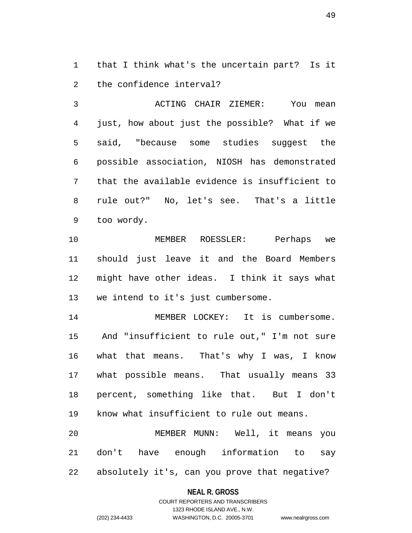1 that I think what's the uncertain part? Is it 2 the confidence interval?

3 ACTING CHAIR ZIEMER: You mean 4 just, how about just the possible? What if we 5 said, "because some studies suggest the 6 possible association, NIOSH has demonstrated 7 that the available evidence is insufficient to 8 rule out?" No, let's see. That's a little 9 too wordy.

10 MEMBER ROESSLER: Perhaps we 11 should just leave it and the Board Members 12 might have other ideas. I think it says what 13 we intend to it's just cumbersome.

14 MEMBER LOCKEY: It is cumbersome. 15 And "insufficient to rule out," I'm not sure 16 what that means. That's why I was, I know 17 what possible means. That usually means 33 18 percent, something like that. But I don't 19 know what insufficient to rule out means.

20 MEMBER MUNN: Well, it means you 21 don't have enough information to say 22 absolutely it's, can you prove that negative?

### **NEAL R. GROSS**

## COURT REPORTERS AND TRANSCRIBERS 1323 RHODE ISLAND AVE., N.W. (202) 234-4433 WASHINGTON, D.C. 20005-3701 www.nealrgross.com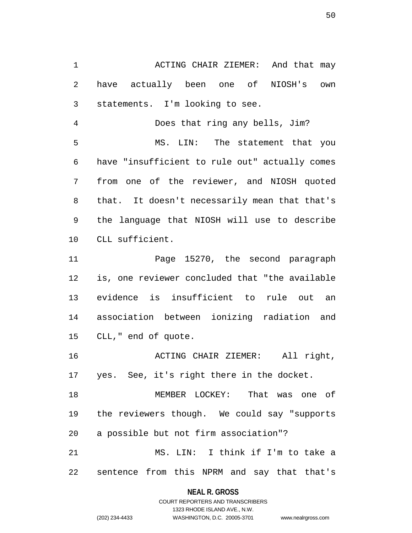1 ACTING CHAIR ZIEMER: And that may 2 have actually been one of NIOSH's own 3 statements. I'm looking to see.

4 Does that ring any bells, Jim? 5 MS. LIN: The statement that you 6 have "insufficient to rule out" actually comes 7 from one of the reviewer, and NIOSH quoted 8 that. It doesn't necessarily mean that that's 9 the language that NIOSH will use to describe 10 CLL sufficient.

11 Page 15270, the second paragraph 12 is, one reviewer concluded that "the available 13 evidence is insufficient to rule out an 14 association between ionizing radiation and 15 CLL," end of quote.

16 ACTING CHAIR ZIEMER: All right, 17 yes. See, it's right there in the docket.

18 MEMBER LOCKEY: That was one of 19 the reviewers though. We could say "supports 20 a possible but not firm association"? 21 MS. LIN: I think if I'm to take a

22 sentence from this NPRM and say that that's

## **NEAL R. GROSS** COURT REPORTERS AND TRANSCRIBERS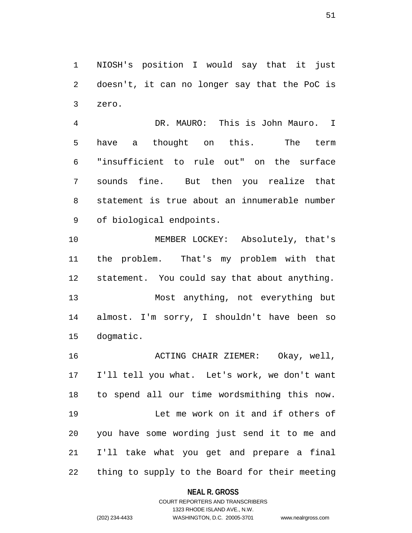1 NIOSH's position I would say that it just 2 doesn't, it can no longer say that the PoC is 3 zero.

4 DR. MAURO: This is John Mauro. I 5 have a thought on this. The term 6 "insufficient to rule out" on the surface 7 sounds fine. But then you realize that 8 statement is true about an innumerable number 9 of biological endpoints.

10 MEMBER LOCKEY: Absolutely, that's 11 the problem. That's my problem with that 12 statement. You could say that about anything. 13 Most anything, not everything but 14 almost. I'm sorry, I shouldn't have been so 15 dogmatic.

16 ACTING CHAIR ZIEMER: Okay, well, 17 I'll tell you what. Let's work, we don't want 18 to spend all our time wordsmithing this now. 19 Let me work on it and if others of 20 you have some wording just send it to me and 21 I'll take what you get and prepare a final 22 thing to supply to the Board for their meeting

### **NEAL R. GROSS**

## COURT REPORTERS AND TRANSCRIBERS 1323 RHODE ISLAND AVE., N.W. (202) 234-4433 WASHINGTON, D.C. 20005-3701 www.nealrgross.com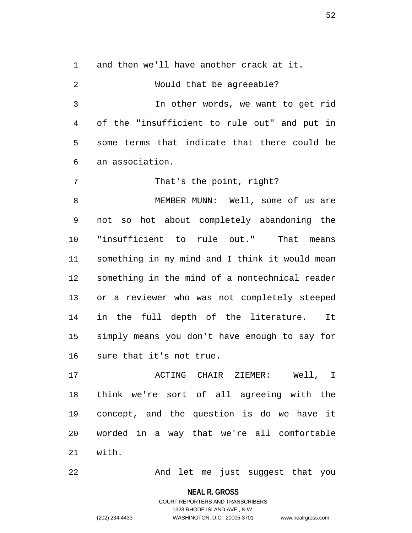1 and then we'll have another crack at it.

2 Would that be agreeable? 3 In other words, we want to get rid 4 of the "insufficient to rule out" and put in 5 some terms that indicate that there could be 6 an association. 7 That's the point, right? 8 MEMBER MUNN: Well, some of us are 9 not so hot about completely abandoning the 10 "insufficient to rule out." That means 11 something in my mind and I think it would mean 12 something in the mind of a nontechnical reader 13 or a reviewer who was not completely steeped 14 in the full depth of the literature. It 15 simply means you don't have enough to say for 16 sure that it's not true.

17 ACTING CHAIR ZIEMER: Well, I 18 think we're sort of all agreeing with the 19 concept, and the question is do we have it 20 worded in a way that we're all comfortable 21 with.

22 And let me just suggest that you

**NEAL R. GROSS**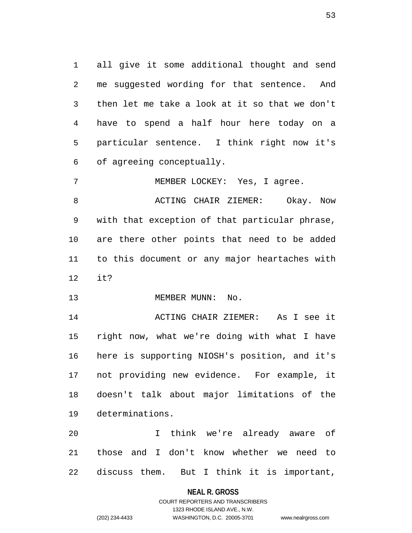1 all give it some additional thought and send 2 me suggested wording for that sentence. And 3 then let me take a look at it so that we don't 4 have to spend a half hour here today on a 5 particular sentence. I think right now it's 6 of agreeing conceptually.

7 MEMBER LOCKEY: Yes, I agree.

8 BOOK ACTING CHAIR ZIEMER: Okay. Now 9 with that exception of that particular phrase, 10 are there other points that need to be added 11 to this document or any major heartaches with 12 it?

13 MEMBER MUNN: No.

14 ACTING CHAIR ZIEMER: As I see it 15 right now, what we're doing with what I have 16 here is supporting NIOSH's position, and it's 17 not providing new evidence. For example, it 18 doesn't talk about major limitations of the 19 determinations.

20 I think we're already aware of 21 those and I don't know whether we need to 22 discuss them. But I think it is important,

### **NEAL R. GROSS**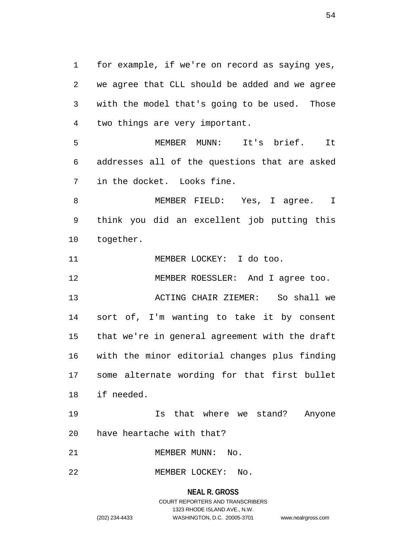1 for example, if we're on record as saying yes, 2 we agree that CLL should be added and we agree 3 with the model that's going to be used. Those 4 two things are very important.

5 MEMBER MUNN: It's brief. It 6 addresses all of the questions that are asked 7 in the docket. Looks fine.

8 MEMBER FIELD: Yes, I aqree. I 9 think you did an excellent job putting this 10 together.

11 MEMBER LOCKEY: I do too.

12 MEMBER ROESSLER: And I agree too.

13 ACTING CHAIR ZIEMER: So shall we 14 sort of, I'm wanting to take it by consent 15 that we're in general agreement with the draft 16 with the minor editorial changes plus finding 17 some alternate wording for that first bullet 18 if needed.

19 Is that where we stand? Anyone 20 have heartache with that?

21 MEMBER MUNN: No.

22 MEMBER LOCKEY: No.

## **NEAL R. GROSS** COURT REPORTERS AND TRANSCRIBERS 1323 RHODE ISLAND AVE., N.W. (202) 234-4433 WASHINGTON, D.C. 20005-3701 www.nealrgross.com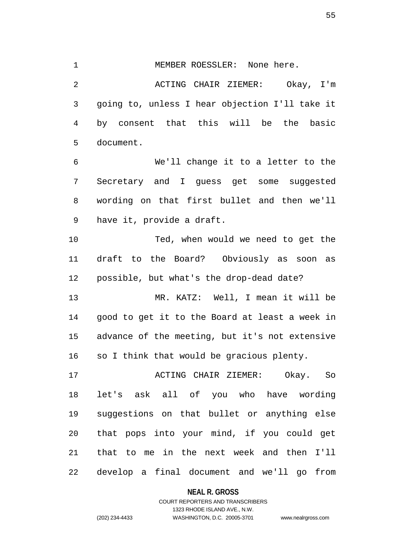2 ACTING CHAIR ZIEMER: Okay, I'm 3 going to, unless I hear objection I'll take it 4 by consent that this will be the basic 5 document. 6 We'll change it to a letter to the 7 Secretary and I guess get some suggested 8 wording on that first bullet and then we'll 9 have it, provide a draft. 10 Ted, when would we need to get the

1 MEMBER ROESSLER: None here.

11 draft to the Board? Obviously as soon as 12 possible, but what's the drop-dead date?

13 MR. KATZ: Well, I mean it will be 14 good to get it to the Board at least a week in 15 advance of the meeting, but it's not extensive 16 so I think that would be gracious plenty.

17 ACTING CHAIR ZIEMER: Okay. So 18 let's ask all of you who have wording 19 suggestions on that bullet or anything else 20 that pops into your mind, if you could get 21 that to me in the next week and then I'll 22 develop a final document and we'll go from

#### **NEAL R. GROSS**